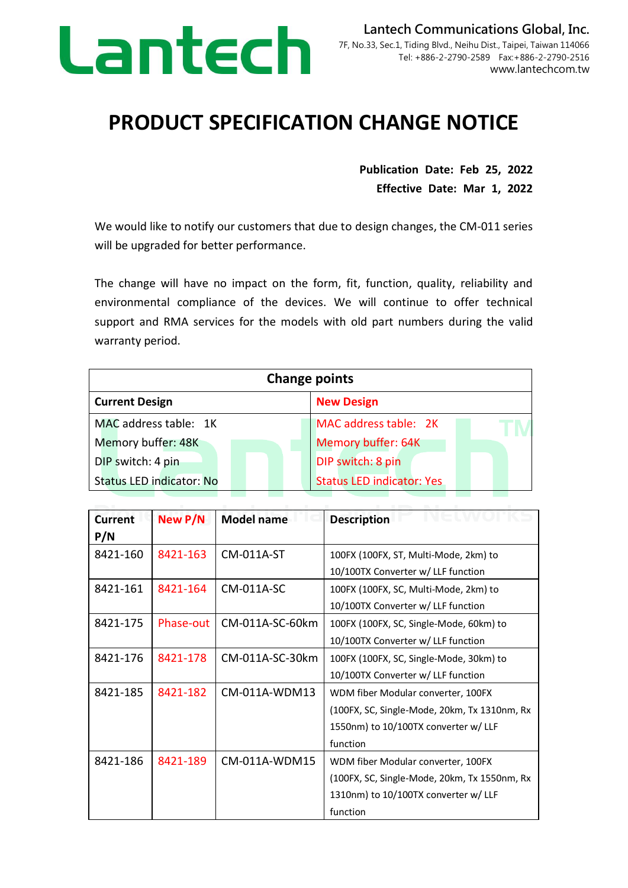

## **PRODUCT SPECIFICATION CHANGE NOTICE**

**Publication Date: Feb 25, 2022 Effective Date: Mar 1, 2022**

We would like to notify our customers that due to design changes, the CM-011 series will be upgraded for better performance.

The change will have no impact on the form, fit, function, quality, reliability and environmental compliance of the devices. We will continue to offer technical support and RMA services for the models with old part numbers during the valid warranty period.

| <b>Change points</b>            |                                  |  |
|---------------------------------|----------------------------------|--|
| <b>Current Design</b>           | <b>New Design</b>                |  |
| MAC address table: 1K           | MAC address table: 2K            |  |
| Memory buffer: 48K              | Memory buffer: 64K               |  |
| DIP switch: 4 pin               | DIP switch: 8 pin                |  |
| <b>Status LED indicator: No</b> | <b>Status LED indicator: Yes</b> |  |

| <b>Current</b><br>P/N | New P/N   | <b>Model name</b> | <b>Description</b>                                                                                                                     |
|-----------------------|-----------|-------------------|----------------------------------------------------------------------------------------------------------------------------------------|
| 8421-160              | 8421-163  | CM-011A-ST        | 100FX (100FX, ST, Multi-Mode, 2km) to<br>10/100TX Converter w/ LLF function                                                            |
| 8421-161              | 8421-164  | CM-011A-SC        | 100FX (100FX, SC, Multi-Mode, 2km) to<br>10/100TX Converter w/ LLF function                                                            |
| 8421-175              | Phase-out | CM-011A-SC-60km   | 100FX (100FX, SC, Single-Mode, 60km) to<br>10/100TX Converter w/ LLF function                                                          |
| 8421-176              | 8421-178  | CM-011A-SC-30km   | 100FX (100FX, SC, Single-Mode, 30km) to<br>10/100TX Converter w/ LLF function                                                          |
| 8421-185              | 8421-182  | CM-011A-WDM13     | WDM fiber Modular converter, 100FX<br>(100FX, SC, Single-Mode, 20km, Tx 1310nm, Rx<br>1550nm) to 10/100TX converter w/ LLF<br>function |
| 8421-186              | 8421-189  | CM-011A-WDM15     | WDM fiber Modular converter, 100FX<br>(100FX, SC, Single-Mode, 20km, Tx 1550nm, Rx<br>1310nm) to 10/100TX converter w/ LLF<br>function |